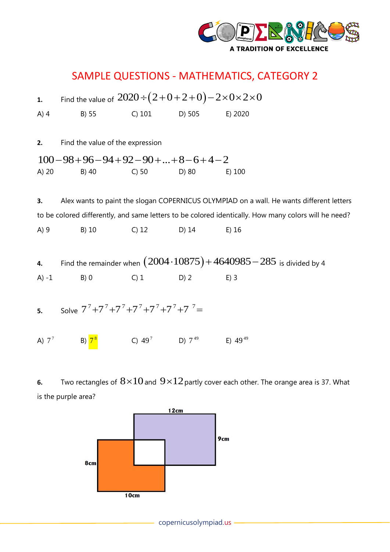

## SAMPLE QUESTIONS - MATHEMATICS, CATEGORY 2

|          | 1. Find the value of $2020 \div (2+0+2+0) - 2 \times 0 \times 2 \times 0$ |                       |                                                                                                      |
|----------|---------------------------------------------------------------------------|-----------------------|------------------------------------------------------------------------------------------------------|
| $A)$ 4   | B) 55                                                                     | C) 101 D) 505 E) 2020 |                                                                                                      |
|          |                                                                           |                       |                                                                                                      |
| 2.       | Find the value of the expression                                          |                       |                                                                                                      |
|          | $100-98+96-94+92-90++8-6+4-2$                                             |                       |                                                                                                      |
| A) 20    | B) 40                                                                     | $C) 50$ D) 80         | E) 100                                                                                               |
|          |                                                                           |                       |                                                                                                      |
| 3.       |                                                                           |                       | Alex wants to paint the slogan COPERNICUS OLYMPIAD on a wall. He wants different letters             |
|          |                                                                           |                       | to be colored differently, and same letters to be colored identically. How many colors will he need? |
| A) 9     | B) 10                                                                     | $C)$ 12 D) 14         | $E)$ 16                                                                                              |
|          |                                                                           |                       |                                                                                                      |
| 4.       |                                                                           |                       | Find the remainder when $(2004 \cdot 10875) + 4640985 - 285$ is divided by 4                         |
| $A) -1$  | B)0                                                                       | $C) 1$ D) 2           | $E)$ 3                                                                                               |
|          |                                                                           |                       |                                                                                                      |
| 5.       | Solve $7^7 + 7^7 + 7^7 + 7^7 + 7^7 + 7^7 + 7^7 =$                         |                       |                                                                                                      |
|          |                                                                           |                       |                                                                                                      |
| A) $7^7$ | B) $7^8$                                                                  | C) $49^7$ D) $7^{49}$ | E) $49^{49}$                                                                                         |
|          |                                                                           |                       |                                                                                                      |

**6.** Two rectangles of  $8{\times}10$  and  $9{\times}12$  partly cover each other. The orange area is 37. What is the purple area?

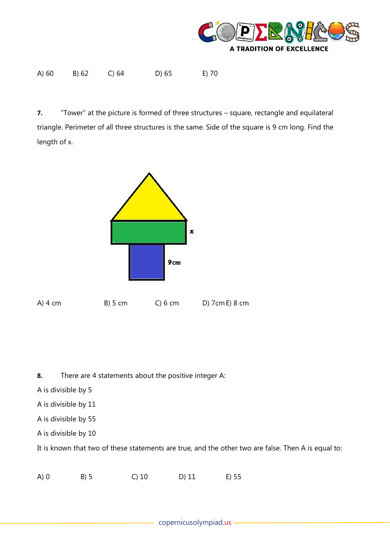

| A) 60 | B) 62 | C) 64 | $D)$ 65 | E) 70 |
|-------|-------|-------|---------|-------|

**7.** "Tower" at the picture is formed of three structures – square, rectangle and equilateral triangle. Perimeter of all three structures is the same. Side of the square is 9 cm long. Find the length of x.



**8.** There are 4 statements about the positive integer A:

A is divisible by 5

- A is divisible by 11
- A is divisible by 55
- A is divisible by 10

It is known that two of these statements are true, and the other two are false. Then A is equal to:

A) 0 B) 5 C) 10 D) 11 E) 55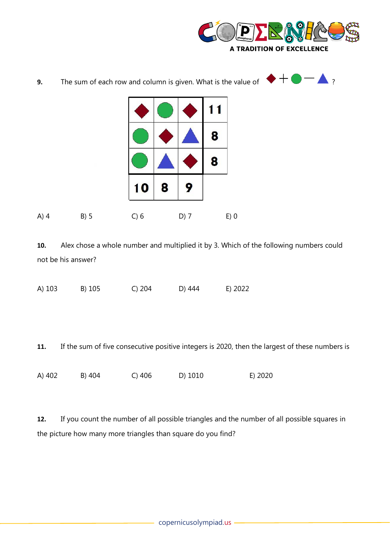

| 9.     | The sum of each row and column is given. What is the value of $\blacksquare$ |      |   |        |           |        |  | ? |
|--------|------------------------------------------------------------------------------|------|---|--------|-----------|--------|--|---|
|        |                                                                              |      |   |        | $\vert$ 1 |        |  |   |
|        |                                                                              |      |   |        | 8         |        |  |   |
|        |                                                                              |      |   |        | 8         |        |  |   |
|        |                                                                              | 10   | 8 | 9      |           |        |  |   |
| $A)$ 4 | B) 5                                                                         | C) 6 |   | $D)$ 7 |           | $E)$ 0 |  |   |

**10.** Alex chose a whole number and multiplied it by 3. Which of the following numbers could not be his answer?

A) 103 B) 105 C) 204 D) 444 E) 2022

**11.** If the sum of five consecutive positive integers is 2020, then the largest of these numbers is

A) 402 B) 404 C) 406 D) 1010 E) 2020

**12.** If you count the number of all possible triangles and the number of all possible squares in the picture how many more triangles than square do you find?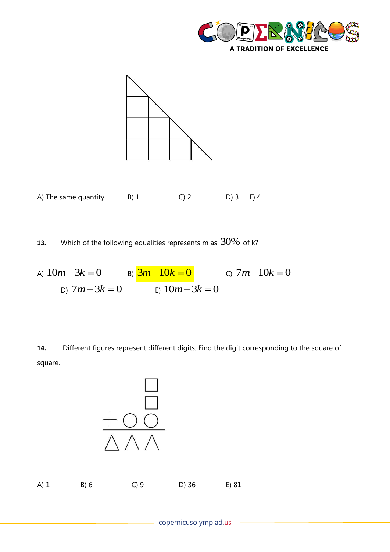



A) The same quantity  $B(1$  C) 2 D) 3 E) 4

**13.** Which of the following equalities represents m as  $30\%$  of k?

 $A) 10m − 3k = 0$   $B) 3m − 10k = 0$   $C) 7m − 10k = 0$  $D)$  7*m*−3*k* = 0  $E)$  10*m* + 3*k* = 0

**14.** Different figures represent different digits. Find the digit corresponding to the square of square.

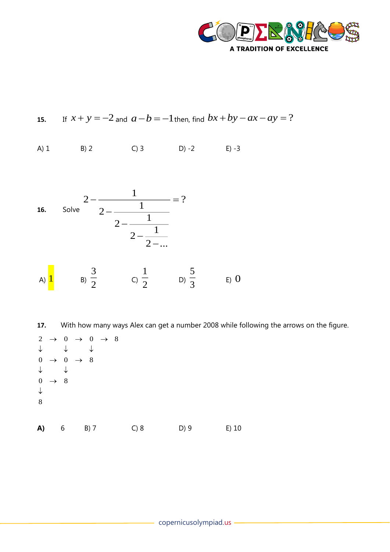

15. If 
$$
x + y = -2
$$
 and  $a - b = -1$  then, find  $bx + by - ax - ay = ?$ 

 $A)$  1 B) 2 C) 3 D) -2 E) -3



With how many ways Alex can get a number 2008 while following the arrows on the figure. 17.

|                   |               |                                      | $2 \rightarrow 0 \rightarrow 0 \rightarrow 8$ |      |      |         |
|-------------------|---------------|--------------------------------------|-----------------------------------------------|------|------|---------|
| $\downarrow$      |               |                                      |                                               |      |      |         |
| $\boldsymbol{0}$  |               | $\rightarrow 0$ $\rightarrow 8$<br>↓ |                                               |      |      |         |
| $\mathbf{0}$      | $\rightarrow$ | 8 <sup>8</sup>                       |                                               |      |      |         |
| $\downarrow$<br>8 |               |                                      |                                               |      |      |         |
|                   |               |                                      |                                               |      |      |         |
| A)                |               | 6                                    | $B)$ 7                                        | C) 8 | D) 9 | $E)$ 10 |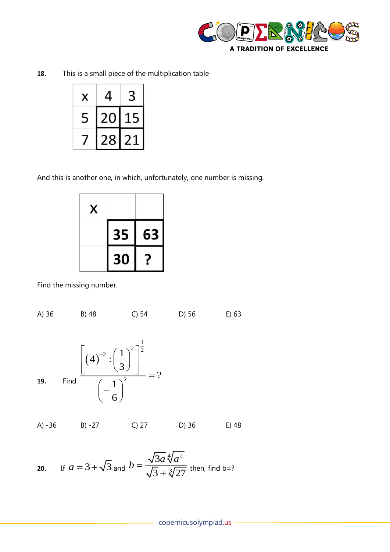

This is a small piece of the multiplication table 18.

| X | $\overline{\mathbf{r}}$ |                      |
|---|-------------------------|----------------------|
|   | Û<br>$\mathcal{L}$      | $\ddot{\phantom{1}}$ |
|   | 78                      |                      |

And this is another one, in which, unfortunately, one number is missing.

| X |    |    |
|---|----|----|
|   | 35 | 63 |
|   | 30 |    |

Find the missing number.

A)  $36$ B) 48  $C$ ) 54 D) 56  $E)$  63 Find  $\frac{\left[\left(4\right)^{-2}:\left(\frac{1}{3}\right)^{2}\right]^{\frac{1}{2}}}{\left(-\frac{1}{6}\right)^{2}}=?$ 19.  $A) -36$  $B) -27$  $C) 27$ D) 36 E) 48

**20.** If 
$$
a = 3 + \sqrt{3}
$$
 and  $b = \frac{\sqrt{3a}\sqrt[4]{a^2}}{\sqrt{3} + \sqrt[3]{27}}$  then, find b=?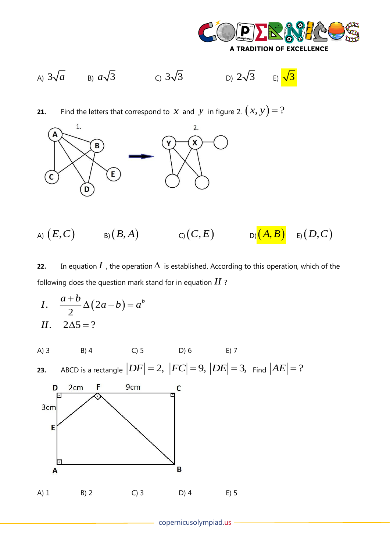

A)  $3\sqrt{a}$  B)  $a\sqrt{3}$  C)  $3\sqrt{3}$  D)  $2\sqrt{3}$ 

E)  $\sqrt{3}$ 

Find the letters that correspond to  $x$  and  $y$  in figure 2.  $(x, y) = ?$  $21.$ 



A)  $(E, C)$  B)  $(B, A)$  C)  $(C, E)$  $E(D,C)$  $D(A, B)$ 

In equation  $I$  , the operation  $\Delta$  is established. According to this operation, which of the 22. following does the question mark stand for in equation  $II$ ?

I. 
$$
\frac{a+b}{2}\Delta(2a-b) = a^b
$$
  
II. 
$$
2\Delta 5 = ?
$$

 $C$ ) 5  $A)$  3  $B)$  4  $D) 6$  $E)$  7 ABCD is a rectangle  $|DF|=2$ ,  $|FC|=9$ ,  $|DE|=3$ , Find  $|AE|=?$ 23.



- copernicusolympiad.us -